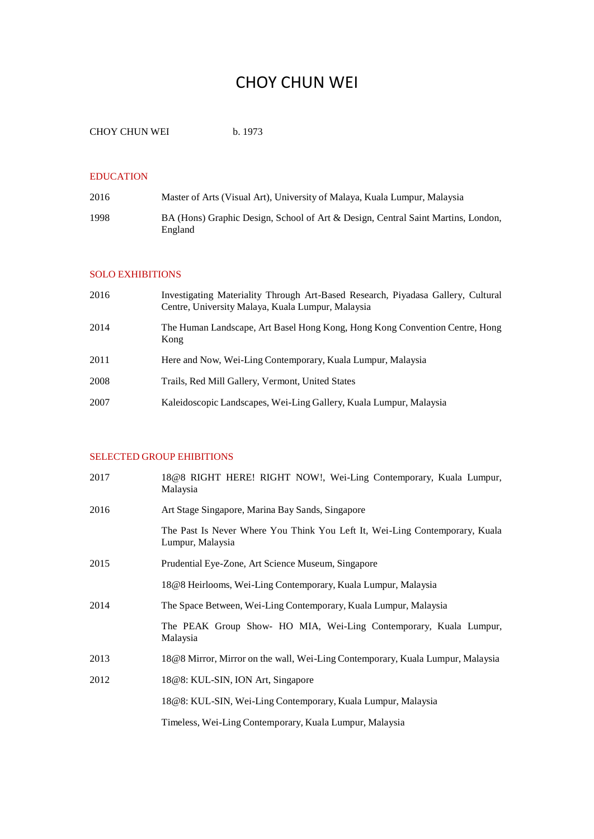# CHOY CHUN WEI

```
CHOY CHUN WEI b. 1973
```
### EDUCATION

| 2016 | Master of Arts (Visual Art), University of Malaya, Kuala Lumpur, Malaysia                   |
|------|---------------------------------------------------------------------------------------------|
| 1998 | BA (Hons) Graphic Design, School of Art & Design, Central Saint Martins, London,<br>England |

#### SOLO EXHIBITIONS

| 2016 | Investigating Materiality Through Art-Based Research, Piyadasa Gallery, Cultural<br>Centre, University Malaya, Kuala Lumpur, Malaysia |
|------|---------------------------------------------------------------------------------------------------------------------------------------|
| 2014 | The Human Landscape, Art Basel Hong Kong, Hong Kong Convention Centre, Hong<br>Kong                                                   |
| 2011 | Here and Now, Wei-Ling Contemporary, Kuala Lumpur, Malaysia                                                                           |
| 2008 | Trails, Red Mill Gallery, Vermont, United States                                                                                      |
| 2007 | Kaleidoscopic Landscapes, Wei-Ling Gallery, Kuala Lumpur, Malaysia                                                                    |

# SELECTED GROUP EHIBITIONS

| 2017 | 18@8 RIGHT HERE! RIGHT NOW!, Wei-Ling Contemporary, Kuala Lumpur,<br>Malaysia                   |
|------|-------------------------------------------------------------------------------------------------|
| 2016 | Art Stage Singapore, Marina Bay Sands, Singapore                                                |
|      | The Past Is Never Where You Think You Left It, Wei-Ling Contemporary, Kuala<br>Lumpur, Malaysia |
| 2015 | Prudential Eye-Zone, Art Science Museum, Singapore                                              |
|      | 18@8 Heirlooms, Wei-Ling Contemporary, Kuala Lumpur, Malaysia                                   |
| 2014 | The Space Between, Wei-Ling Contemporary, Kuala Lumpur, Malaysia                                |
|      | The PEAK Group Show- HO MIA, Wei-Ling Contemporary, Kuala Lumpur,<br>Malaysia                   |
| 2013 | 18@8 Mirror, Mirror on the wall, Wei-Ling Contemporary, Kuala Lumpur, Malaysia                  |
| 2012 | 18@8: KUL-SIN, ION Art, Singapore                                                               |
|      | 18@8: KUL-SIN, Wei-Ling Contemporary, Kuala Lumpur, Malaysia                                    |
|      | Timeless, Wei-Ling Contemporary, Kuala Lumpur, Malaysia                                         |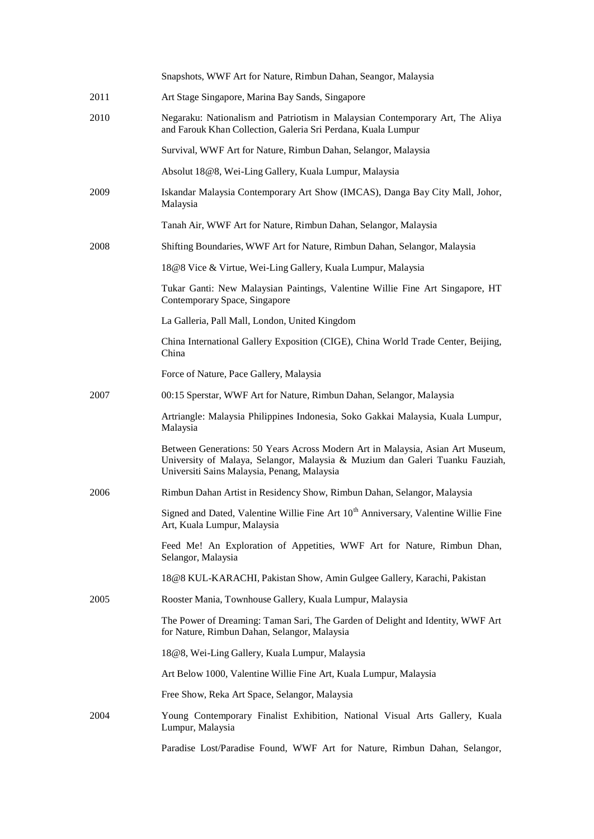|      | Snapshots, WWF Art for Nature, Rimbun Dahan, Seangor, Malaysia                                                                                                                                                |
|------|---------------------------------------------------------------------------------------------------------------------------------------------------------------------------------------------------------------|
| 2011 | Art Stage Singapore, Marina Bay Sands, Singapore                                                                                                                                                              |
| 2010 | Negaraku: Nationalism and Patriotism in Malaysian Contemporary Art, The Aliya<br>and Farouk Khan Collection, Galeria Sri Perdana, Kuala Lumpur                                                                |
|      | Survival, WWF Art for Nature, Rimbun Dahan, Selangor, Malaysia                                                                                                                                                |
|      | Absolut 18@8, Wei-Ling Gallery, Kuala Lumpur, Malaysia                                                                                                                                                        |
| 2009 | Iskandar Malaysia Contemporary Art Show (IMCAS), Danga Bay City Mall, Johor,<br>Malaysia                                                                                                                      |
|      | Tanah Air, WWF Art for Nature, Rimbun Dahan, Selangor, Malaysia                                                                                                                                               |
| 2008 | Shifting Boundaries, WWF Art for Nature, Rimbun Dahan, Selangor, Malaysia                                                                                                                                     |
|      | 18@8 Vice & Virtue, Wei-Ling Gallery, Kuala Lumpur, Malaysia                                                                                                                                                  |
|      | Tukar Ganti: New Malaysian Paintings, Valentine Willie Fine Art Singapore, HT<br>Contemporary Space, Singapore                                                                                                |
|      | La Galleria, Pall Mall, London, United Kingdom                                                                                                                                                                |
|      | China International Gallery Exposition (CIGE), China World Trade Center, Beijing,<br>China                                                                                                                    |
|      | Force of Nature, Pace Gallery, Malaysia                                                                                                                                                                       |
| 2007 | 00:15 Sperstar, WWF Art for Nature, Rimbun Dahan, Selangor, Malaysia                                                                                                                                          |
|      | Artriangle: Malaysia Philippines Indonesia, Soko Gakkai Malaysia, Kuala Lumpur,<br>Malaysia                                                                                                                   |
|      | Between Generations: 50 Years Across Modern Art in Malaysia, Asian Art Museum,<br>University of Malaya, Selangor, Malaysia & Muzium dan Galeri Tuanku Fauziah,<br>Universiti Sains Malaysia, Penang, Malaysia |
| 2006 | Rimbun Dahan Artist in Residency Show, Rimbun Dahan, Selangor, Malaysia                                                                                                                                       |
|      | Signed and Dated, Valentine Willie Fine Art 10 <sup>th</sup> Anniversary, Valentine Willie Fine<br>Art, Kuala Lumpur, Malaysia                                                                                |
|      | Feed Me! An Exploration of Appetities, WWF Art for Nature, Rimbun Dhan,<br>Selangor, Malaysia                                                                                                                 |
|      | 18@8 KUL-KARACHI, Pakistan Show, Amin Gulgee Gallery, Karachi, Pakistan                                                                                                                                       |
| 2005 | Rooster Mania, Townhouse Gallery, Kuala Lumpur, Malaysia                                                                                                                                                      |
|      | The Power of Dreaming: Taman Sari, The Garden of Delight and Identity, WWF Art<br>for Nature, Rimbun Dahan, Selangor, Malaysia                                                                                |
|      | 18@8, Wei-Ling Gallery, Kuala Lumpur, Malaysia                                                                                                                                                                |
|      | Art Below 1000, Valentine Willie Fine Art, Kuala Lumpur, Malaysia                                                                                                                                             |
|      | Free Show, Reka Art Space, Selangor, Malaysia                                                                                                                                                                 |
| 2004 | Young Contemporary Finalist Exhibition, National Visual Arts Gallery, Kuala<br>Lumpur, Malaysia                                                                                                               |
|      | Paradise Lost/Paradise Found, WWF Art for Nature, Rimbun Dahan, Selangor,                                                                                                                                     |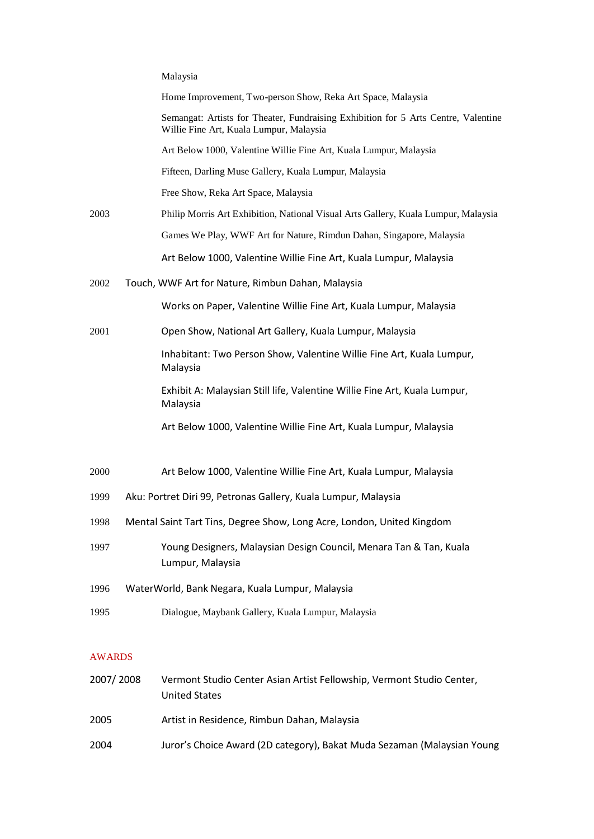|               | Malaysia                                                                                                                      |
|---------------|-------------------------------------------------------------------------------------------------------------------------------|
|               | Home Improvement, Two-person Show, Reka Art Space, Malaysia                                                                   |
|               | Semangat: Artists for Theater, Fundraising Exhibition for 5 Arts Centre, Valentine<br>Willie Fine Art, Kuala Lumpur, Malaysia |
|               | Art Below 1000, Valentine Willie Fine Art, Kuala Lumpur, Malaysia                                                             |
|               | Fifteen, Darling Muse Gallery, Kuala Lumpur, Malaysia                                                                         |
|               | Free Show, Reka Art Space, Malaysia                                                                                           |
| 2003          | Philip Morris Art Exhibition, National Visual Arts Gallery, Kuala Lumpur, Malaysia                                            |
|               | Games We Play, WWF Art for Nature, Rimdun Dahan, Singapore, Malaysia                                                          |
|               | Art Below 1000, Valentine Willie Fine Art, Kuala Lumpur, Malaysia                                                             |
| 2002          | Touch, WWF Art for Nature, Rimbun Dahan, Malaysia                                                                             |
|               | Works on Paper, Valentine Willie Fine Art, Kuala Lumpur, Malaysia                                                             |
| 2001          | Open Show, National Art Gallery, Kuala Lumpur, Malaysia                                                                       |
|               | Inhabitant: Two Person Show, Valentine Willie Fine Art, Kuala Lumpur,<br>Malaysia                                             |
|               | Exhibit A: Malaysian Still life, Valentine Willie Fine Art, Kuala Lumpur,<br>Malaysia                                         |
|               | Art Below 1000, Valentine Willie Fine Art, Kuala Lumpur, Malaysia                                                             |
| 2000          | Art Below 1000, Valentine Willie Fine Art, Kuala Lumpur, Malaysia                                                             |
| 1999          | Aku: Portret Diri 99, Petronas Gallery, Kuala Lumpur, Malaysia                                                                |
| 1998          | Mental Saint Tart Tins, Degree Show, Long Acre, London, United Kingdom                                                        |
| 1997          | Young Designers, Malaysian Design Council, Menara Tan & Tan, Kuala<br>Lumpur, Malaysia                                        |
| 1996          | WaterWorld, Bank Negara, Kuala Lumpur, Malaysia                                                                               |
| 1995          | Dialogue, Maybank Gallery, Kuala Lumpur, Malaysia                                                                             |
| <b>AWARDS</b> |                                                                                                                               |
| 2007/2008     | Vermont Studio Center Asian Artist Fellowship, Vermont Studio Center,                                                         |
|               |                                                                                                                               |

United States 2005 Artist in Residence, Rimbun Dahan, Malaysia 2004 Juror's Choice Award (2D category), Bakat Muda Sezaman (Malaysian Young